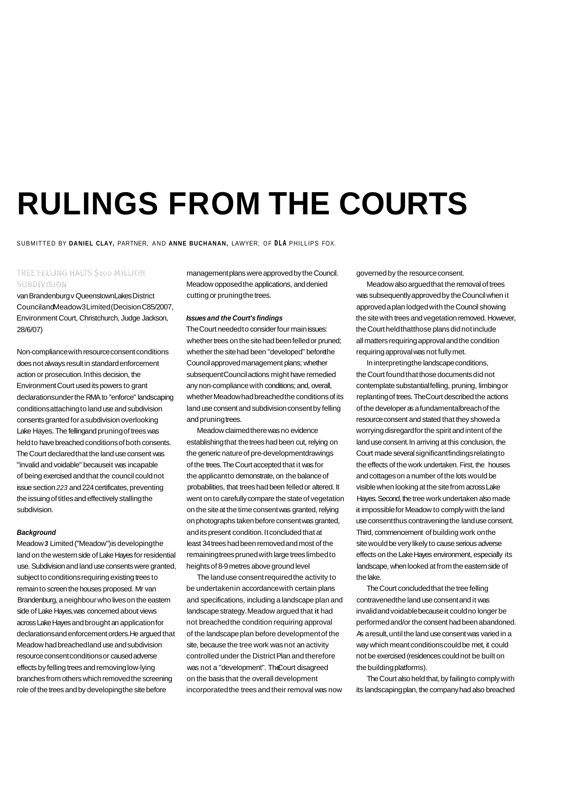# **RULINGS FROM THE COURTS**

SUBMITTED BY **DANIEL CLAY,** PARTNER, AND **ANNE BUCHANAN,** LAWYER, OF **DLA** PHILLIPS FOX.

## TREE FELLING HALTS S100 MILLION **SUBDIVISION**

van Brandenburg v Queenstown Lakes District Counciland Meadow3 Limited (Decision C85/2007, Environment Court, Christchurch, Judge Jackson, 28/6/07)

Non-compliance with resource consent conditions does not always result in standard enforcement action or prosecution. In this decision, the Environment Court used its powers to grant declarations under the RMA to "enforce" landscaping conditions attaching to land use and subdivision consents granted for a subdivision overlooking Lake Hayes. The felling and pruning of trees was held to have breached conditions of both consents. The Court declared that the land use consent was "invalid and voidable" becauseit was incapable of being exercised and that the council could not issue section 223 and 224 certificates, preventing the issuing of titles and effectively stalling the subdivision.

## **Background**

Meadow **3** Limited ("Meadow") is developing the land on the western side of Lake Hayes for residential use. Subdivision and land use consents were granted, subject to conditions requiring existing trees to remain to screen the houses proposed. Mr van Brandenburg, a neighbour who lives on the eastern side of Lake Hayes, was concerned about views across Lake Hayes and brought an application for declarations and enforcement orders. He argued that Meadow had breached land use and subdivision resource consent conditions or caused adverse effects by felling trees and removing low-lying branches from others which removed the screening role of the trees and by developing the site before incorporated the trees and their removal was now

management plans were approved by the Council. Meadow opposed the applications, and denied cutting or pruning the trees.

### **Issues and the Court's findings**

The Court needed to consider four main issues: whether trees on the site had been felled or pruned; whether the site had been "developed" before he Council approved management plans; whether subsequent Council actions might have remedied any non-compliance with conditions; and, overall, whether Meadow had breached the conditions of its land use consent and subdivision consent by felling and pruning trees.

Meadow claimed there was no evidence establishing that the trees had been cut, relying on the generic nature of pre-developmentdrawings of the trees. The Court accepted that it was for the applicant to demonstrate, on the balance of probabilities, that trees had been felled or altered. It went on to carefully compare the state of vegetation on the site at the time consent was granted, relying on photographs taken before consent was granted, and its present condition. It concluded that at least 34 trees had been removed and most of the remaining trees pruned with large trees limbed to heights of 8-9 metres above ground level

The land use consent required the activity to be undertaken in accordance with certain plans and specifications, including a landscape plan and landscape strategy. Meadow argued that it had not breached the condition requiring approval of the landscape plan before development of the site, because the tree work was not an activity controlled under the District Plan and therefore was not a "development". The Court disagreed on the basis that the overall development

governed by the resource consent.

Meadow also argued that the removal of trees was subsequently approved by the Council when it approved a plan lodged with the Council showing the site with trees and vegetation removed. However, the Court held thatthose plans did not include all matters requiring approval and the condition requiring approval was not fully met.

In interpreting the landscape conditions, the Court found that those documents did not contemplate substantial felling, pruning, limbing or replanting of trees. The Court described the actions of the developer as a fundamental breach of the resource consent and stated that they showed a worrying disregard for the spirit and intent of the land use consent. In arriving at this conclusion, the Court made several significant findings relating to the effects of the work undertaken. First, the houses and cottages on a number of the lots would be visible when looking at the site from across Lake Hayes. Second, the tree work undertaken also made it impossible for Meadow to comply with the land use consent thus contravening the land use consent. Third, commencement of building work on the site would be very likely to cause serious adverse effects on the Lake Hayes environment, especially its landscape, when looked at from the eastern side of the lake.

The Court concluded that the tree felling contravened the land use consent and it was invalid and voidable because it could no longer be performed and/or the consent had been abandoned. As a result, until the land use consent was varied in a way which meant conditions could be met, it could not be exercised (residences could not be built on the building platforms).

The Court also held that, by failing to comply with its landscaping plan, the company had also breached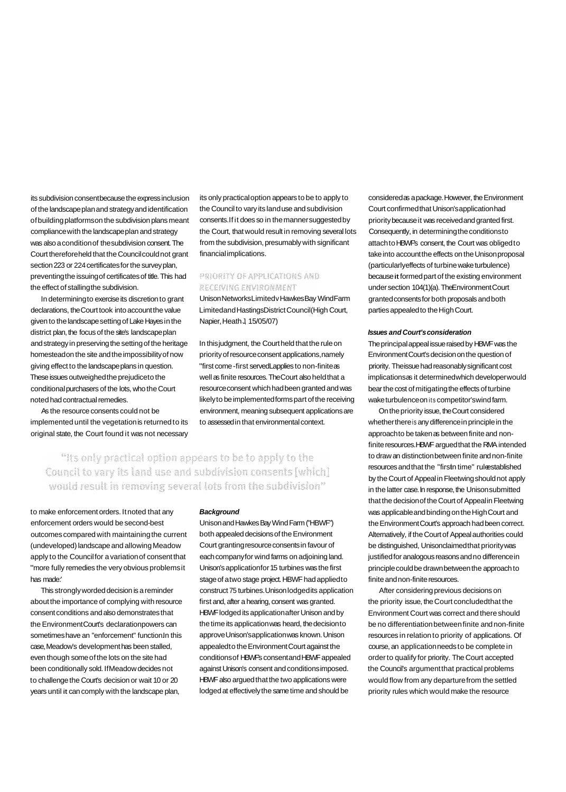its subdivision consent because the express inclusion of the landscape plan and strategy and identification of building platforms on the subdivision plans meant compliance with the landscape plan and strategy was also a condition of the subdivision consent. The Court therefore held that the Council could not grant section 223 or 224 certificates for the survey plan, preventing the issuing of certificates of title. This had the effect of stalling the subdivision.

In determining to exercise its discretion to grant declarations, the Court took into account the value given to the landscape setting of Lake Hayes in the district plan, the focus of the site's landscape plan and strategy in preserving the setting of the heritage homestead on the site and the impossibility of now giving effect to the landscape plans in question. These issues outweighed the prejudice to the conditional purchasers of the lots, who the Court noted had contractual remedies.

As the resource consents could not be implemented until the vegetation is returned to its original state, the Court found it was not necessary

its only practical option appears to be to apply to the Council to vary its land use and subdivision consents. If it does so in the manner suggested by the Court, that would result in removing several lots from the subdivision, presumably with significant financial implications.

## PRIORITY OF APPLICATIONS AND **RECEIVING ENVIRONMENT**

Unison Networks Limited v Hawkes Bay Wind Farm Limitedand Hastings District Council (High Court, Napier, Heath J, 15/05/07)

In this judgment, the Court held that the rule on priority of resource consent applications, namely "first come -first servedLapplies to non-finite as well as finite resources. The Court also held that a resource consent which had been granted and was likely to be implemented forms part of the receiving environment, meaning subsequent applications are to assessed in that environmental context.

## "Its only practical option appears to be to apply to the Council to vary its land use and subdivision consents [which] would result in removing several lots from the subdivision"

to make enforcement orders. It noted that any enforcement orders would be second-best outcomes compared with maintaining the current (undeveloped) landscape and allowing Meadow apply to the Council for a variation of consent that "more fully remedies the very obvious problems it has made:'

This strongly worded decision is a reminder about the importance of complying with resource consent conditions and also demonstrates that the Environment Court's declaration powers can sometimes have an "enforcement" function. In this case, Meadow's development has been stalled, even though some of the lots on the site had been conditionally sold. If Meadow decides not to challenge the Court's decision or wait 10 or 20 years until it can comply with the landscape plan,

#### **Background**

Unison and Hawkes Bay Wind Farm ("HBWF") both appealed decisions of the Environment Court granting resource consents in favour of each company for wind farms on adjoining land. Unison's application for 15 turbines was the first stage of a two stage project. HBWF had applied to construct 75 turbines. Unison lodged its application first and, after a hearing, consent was granted. HBWF lodged its application after Unison and by the time its application was heard, the decision to approve Unison's application was known. Unison appealed to the Environment Court against the conditions of HBWF's consent and HBWF appealed against Unison's consent and conditions imposed. HBWF also argued that the two applications were lodged at effectively the same time and should be

considered as a package. However, the Environment Court confirmed that Unison's application had priority because it was received and granted first. Consequently, in determining the conditions to attach to HBWF's consent, the Court was obliged to take into account the effects on the Unison proposal (particularly effects of turbine wake turbulence) because it formed part of the existing environment under section 104(1)(a). The Environment Court granted consents for both proposals and both parties appealed to the High Court.

#### **Issues and Court's consideration**

The principal appeal issue raised by HBWF was the Environment Court's decision on the question of priority. The issue had reasonably significant cost implications as it determined which developer would bear the cost of mitigating the effects of turbine wake turbulence on its competitor's wind farm.

On the priority issue, the Court considered whether there is any difference in principle in the approach to be taken as between finite and nonfinite resources. HBWF argued that the RMA intended to draw an distinction between finite and non-finite resources and that the "firstn time" rule established by the Court of Appeal in Fleetwing should not apply in the latter case. ln response, the Unison submitted that the decision of the Court of Appeal in Fleetwing was applicable and binding on the High Court and the Environment Court's approach had been correct. Alternatively, if the Court of Appeal authorities could be distinguished, Unisonclaimed that priority was justified for analogous reasons and no difference in principle could be drawn between the approach to finite and non-finite resources.

After considering previous decisions on the priority issue, the Court concluded that the Environment Court was correct and there should be no differentiation between finite and non-finite resources in relation to priority of applications. Of course, an application needs to be complete in order to qualify for priority. The Court accepted the Council's argument that practical problems would flow from any departure from the settled priority rules which would make the resource